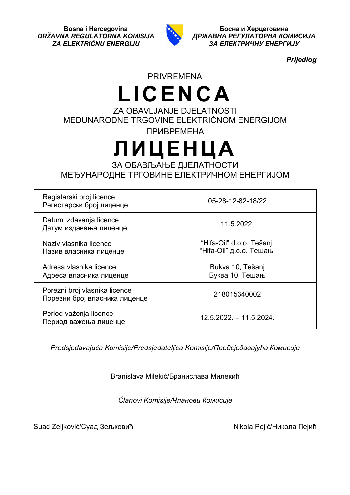

*DRŽAVNA REGULATORNA KOMISIJA ДРЖАВНА РЕГУЛАТОРНА КОМИСИЈА ZA ELEKTRIČNU ENERGIJU ЗА ЕЛЕКТРИЧНУ ЕНЕРГИЈУ*

*Prijedlog*

## PRIVREMENA

## **LICENCA** ZA OBAVLJANJE DJELATNOSTI

MEĐUNARODNE TRGOVINE ELEKTRIČNOM ENERGIJOM

ПРИВРЕМЕНА

# **ЛИЦЕНЦА**

ЗА ОБАВЉАЊЕ ДЈЕЛАТНОСТИ МЕЂУНАРОДНЕ ТРГОВИНЕ ЕЛЕКТРИЧНОМ ЕНЕРГИЈОМ

| Registarski broj licence<br>Регистарски број лиценце           | 05-28-12-82-18/22                                   |
|----------------------------------------------------------------|-----------------------------------------------------|
| Datum izdavanja licence<br>Датум издавања лиценце              | 11.5.2022.                                          |
| Naziv vlasnika licence<br>Назив власника лиценце               | "Hifa-Oil" d.o.o. Tešanj<br>"Ніfа-Oil" д.о.о. Тешањ |
| Adresa vlasnika licence<br>Адреса власника лиценце             | Bukva 10, Tešanj<br>Буква 10, Тешањ                 |
| Porezni broj vlasnika licence<br>Порезни број власника лиценце | 218015340002                                        |
| Period važenja licence<br>Период важења лиценце                | $12.5.2022 - 11.5.2024$ .                           |

*Predsjedavajuća Komisije/Predsjedateljica Komisije/Предсједавајућa Комисије*

Branislava Milekić/Бранислава Милекић

*Članovi Komisije/Чланови Комисије*

Suad Zeljković/Суад Зељковић и поведа и провођа и матификола Пејић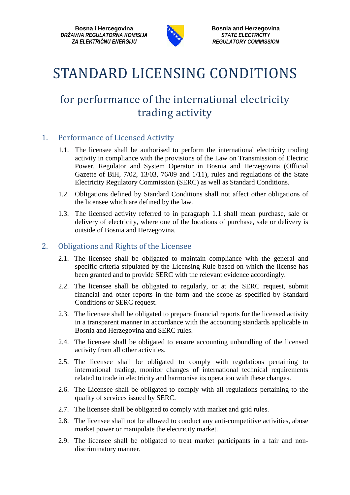**Bosna i Hercegovina**<br> **Bosnia and Herzegovina**<br> **Bosnia and Herzegovina**<br> **Bosnia and Herzegovina**<br> **Bosnia and Herzegovina** *DRŽAVNA REGULATORNA KOMISIJA STATE ELECTRICITY*



*ZA ELEKTRIČNU ENERGIJU REGULATORY COMMISSION*

# STANDARD LICENSING CONDITIONS

### for performance of the international electricity trading activity

#### 1. Performance of Licensed Activity

- 1.1. The licensee shall be authorised to perform the international electricity trading activity in compliance with the provisions of the Law on Transmission of Electric Power, Regulator and System Operator in Bosnia and Herzegovina (Official Gazette of BiH, 7/02, 13/03, 76/09 and 1/11), rules and regulations of the State Electricity Regulatory Commission (SERC) as well as Standard Conditions.
- 1.2. Obligations defined by Standard Conditions shall not affect other obligations of the licensee which are defined by the law.
- 1.3. The licensed activity referred to in paragraph 1.1 shall mean purchase, sale or delivery of electricity, where one of the locations of purchase, sale or delivery is outside of Bosnia and Herzegovina.

#### 2. Obligations and Rights of the Licensee

- 2.1. The licensee shall be obligated to maintain compliance with the general and specific criteria stipulated by the Licensing Rule based on which the license has been granted and to provide SERC with the relevant evidence accordingly.
- 2.2. The licensee shall be obligated to regularly, or at the SERC request, submit financial and other reports in the form and the scope as specified by Standard Conditions or SERC request.
- 2.3. The licensee shall be obligated to prepare financial reports for the licensed activity in a transparent manner in accordance with the accounting standards applicable in Bosnia and Herzegovina and SERC rules.
- 2.4. The licensee shall be obligated to ensure accounting unbundling of the licensed activity from all other activities.
- 2.5. The licensee shall be obligated to comply with regulations pertaining to international trading, monitor changes of international technical requirements related to trade in electricity and harmonise its operation with these changes.
- 2.6. The Licensee shall be obligated to comply with all regulations pertaining to the quality of services issued by SERC.
- 2.7. The licensee shall be obligated to comply with market and grid rules.
- 2.8. The licensee shall not be allowed to conduct any anti-competitive activities, abuse market power or manipulate the electricity market.
- 2.9. The licensee shall be obligated to treat market participants in a fair and nondiscriminatory manner.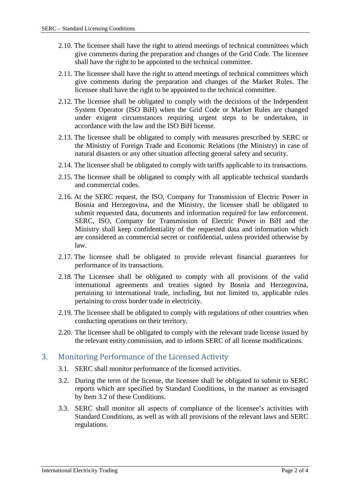- 2.10. The licensee shall have the right to attend meetings of technical committees which give comments during the preparation and changes of the Grid Code. The licensee shall have the right to be appointed to the technical committee.
- 2.11. The licensee shall have the right to attend meetings of technical committees which give comments during the preparation and changes of the Market Rules. The licensee shall have the right to be appointed to the technical committee.
- 2.12. The licensee shall be obligated to comply with the decisions of the Independent System Operator (ISO BiH) when the Grid Code or Market Rules are changed under exigent circumstances requiring urgent steps to be undertaken, in accordance with the law and the ISO BiH license.
- 2.13. The licensee shall be obligated to comply with measures prescribed by SERC or the Ministry of Foreign Trade and Economic Relations (the Ministry) in case of natural disasters or any other situation affecting general safety and security.
- 2.14. The licensee shall be obligated to comply with tariffs applicable to its transactions.
- 2.15. The licensee shall be obligated to comply with all applicable technical standards and commercial codes.
- 2.16. At the SERC request, the ISO, Company for Transmission of Electric Power in Bosnia and Herzegovina, and the Ministry, the licensee shall be obligated to submit requested data, documents and information required for law enforcement. SERC, ISO, Company for Transmission of Electric Power in BiH and the Ministry shall keep confidentiality of the requested data and information which are considered as commercial secret or confidential, unless provided otherwise by law.
- 2.17. The licensee shall be obligated to provide relevant financial guarantees for performance of its transactions.
- 2.18. The Licensee shall be obligated to comply with all provisions of the valid international agreements and treaties signed by Bosnia and Herzegovina, pertaining to international trade, including, but not limited to, applicable rules pertaining to cross border trade in electricity.
- 2.19. The licensee shall be obligated to comply with regulations of other countries when conducting operations on their territory.
- 2.20. The licensee shall be obligated to comply with the relevant trade license issued by the relevant entity commission, and to inform SERC of all license modifications.

#### 3. Monitoring Performance of the Licensed Activity

- 3.1. SERC shall monitor performance of the licensed activities.
- 3.2. During the term of the license, the licensee shall be obligated to submit to SERC reports which are specified by Standard Conditions, in the manner as envisaged by Item 3.2 of these Conditions.
- 3.3. SERC shall monitor all aspects of compliance of the licensee's activities with Standard Conditions, as well as with all provisions of the relevant laws and SERC regulations.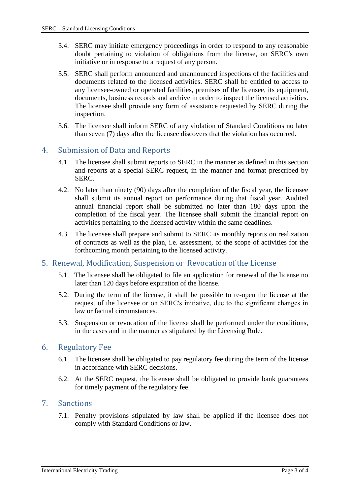- 3.4. SERC may initiate emergency proceedings in order to respond to any reasonable doubt pertaining to violation of obligations from the license, on SERC′s own initiative or in response to a request of any person.
- 3.5. SERC shall perform announced and unannounced inspections of the facilities and documents related to the licensed activities. SERC shall be entitled to access to any licensee-owned or operated facilities, premises of the licensee, its equipment, documents, business records and archive in order to inspect the licensed activities. The licensee shall provide any form of assistance requested by SERC during the inspection.
- 3.6. The licensee shall inform SERC of any violation of Standard Conditions no later than seven (7) days after the licensee discovers that the violation has occurred.

#### 4. Submission of Data and Reports

- 4.1. The licensee shall submit reports to SERC in the manner as defined in this section and reports at a special SERC request, in the manner and format prescribed by SERC.
- 4.2. No later than ninety (90) days after the completion of the fiscal year, the licensee shall submit its annual report on performance during that fiscal year. Audited annual financial report shall be submitted no later than 180 days upon the completion of the fiscal year. The licensee shall submit the financial report on activities pertaining to the licensed activity within the same deadlines.
- 4.3. The licensee shall prepare and submit to SERC its monthly reports on realization of contracts as well as the plan, i.e. assessment, of the scope of activities for the forthcoming month pertaining to the licensed activity.

#### 5. Renewal, Modification, Suspension or Revocation of the License

- 5.1. The licensee shall be obligated to file an application for renewal of the license no later than 120 days before expiration of the license.
- 5.2. During the term of the license, it shall be possible to re-open the license at the request of the licensee or on SERC′s initiative, due to the significant changes in law or factual circumstances.
- 5.3. Suspension or revocation of the license shall be performed under the conditions, in the cases and in the manner as stipulated by the Licensing Rule.

#### 6. Regulatory Fee

- 6.1. The licensee shall be obligated to pay regulatory fee during the term of the license in accordance with SERC decisions.
- 6.2. At the SERC request, the licensee shall be obligated to provide bank guarantees for timely payment of the regulatory fee.

#### 7. Sanctions

7.1. Penalty provisions stipulated by law shall be applied if the licensee does not comply with Standard Conditions or law.